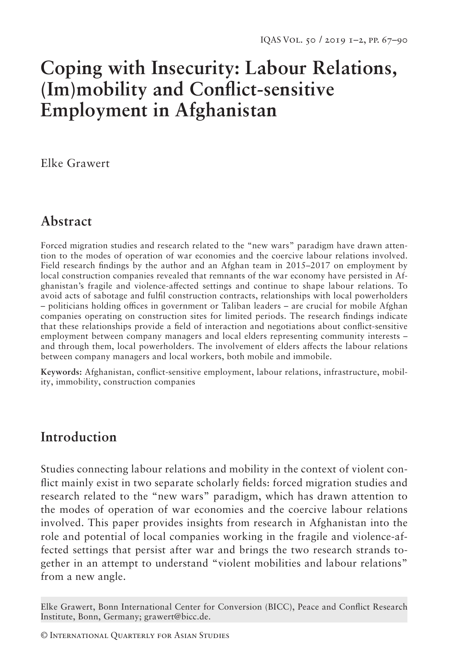# **Coping with Insecurity: Labour Relations, (Im)mobility and Conflict-sensitive Employment in Afghanistan**

Elke Grawert

## **Abstract**

Forced migration studies and research related to the "new wars" paradigm have drawn attention to the modes of operation of war economies and the coercive labour relations involved. Field research findings by the author and an Afghan team in 2015–2017 on employment by local construction companies revealed that remnants of the war economy have persisted in Afghanistan's fragile and violence-affected settings and continue to shape labour relations. To avoid acts of sabotage and fulfil construction contracts, relationships with local powerholders – politicians holding offices in government or Taliban leaders – are crucial for mobile Afghan companies operating on construction sites for limited periods. The research findings indicate that these relationships provide a field of interaction and negotiations about conflict-sensitive employment between company managers and local elders representing community interests – and through them, local powerholders. The involvement of elders affects the labour relations between company managers and local workers, both mobile and immobile.

**Keywords:** Afghanistan, conflict-sensitive employment, labour relations, infrastructure, mobility, immobility, construction companies

## **Introduction**

Studies connecting labour relations and mobility in the context of violent conflict mainly exist in two separate scholarly fields: forced migration studies and research related to the "new wars" paradigm, which has drawn attention to the modes of operation of war economies and the coercive labour relations involved. This paper provides insights from research in Afghanistan into the role and potential of local companies working in the fragile and violence-affected settings that persist after war and brings the two research strands together in an attempt to understand "violent mobilities and labour relations" from a new angle.

Elke Grawert, Bonn International Center for Conversion (BICC), Peace and Conflict Research Institute, Bonn, Germany; grawert@bicc.de.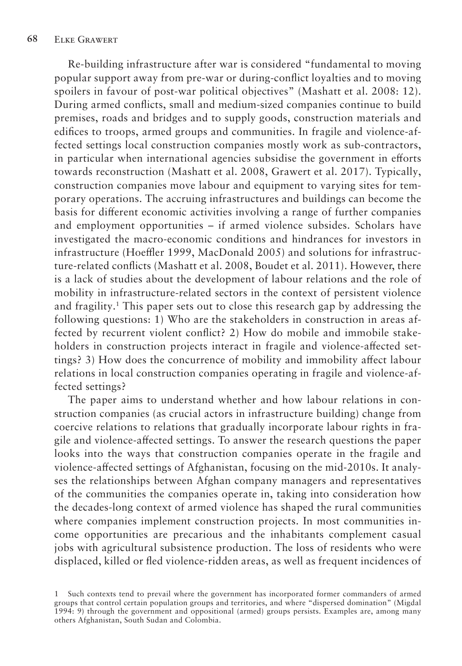Re-building infrastructure after war is considered "fundamental to moving popular support away from pre-war or during-conflict loyalties and to moving spoilers in favour of post-war political objectives" (Mashatt et al. 2008: 12). During armed conflicts, small and medium-sized companies continue to build premises, roads and bridges and to supply goods, construction materials and edifices to troops, armed groups and communities. In fragile and violence-affected settings local construction companies mostly work as sub-contractors, in particular when international agencies subsidise the government in efforts towards reconstruction (Mashatt et al. 2008, Grawert et al. 2017). Typically, construction companies move labour and equipment to varying sites for temporary operations. The accruing infrastructures and buildings can become the basis for different economic activities involving a range of further companies and employment opportunities – if armed violence subsides. Scholars have investigated the macro-economic conditions and hindrances for investors in infrastructure (Hoeffler 1999, MacDonald 2005) and solutions for infrastructure-related conflicts (Mashatt et al. 2008, Boudet et al. 2011). However, there is a lack of studies about the development of labour relations and the role of mobility in infrastructure-related sectors in the context of persistent violence and fragility.1 This paper sets out to close this research gap by addressing the following questions: 1) Who are the stakeholders in construction in areas affected by recurrent violent conflict? 2) How do mobile and immobile stakeholders in construction projects interact in fragile and violence-affected settings? 3) How does the concurrence of mobility and immobility affect labour relations in local construction companies operating in fragile and violence-affected settings?

The paper aims to understand whether and how labour relations in construction companies (as crucial actors in infrastructure building) change from coercive relations to relations that gradually incorporate labour rights in fragile and violence-affected settings. To answer the research questions the paper looks into the ways that construction companies operate in the fragile and violence-affected settings of Afghanistan, focusing on the mid-2010s. It analyses the relationships between Afghan company managers and representatives of the communities the companies operate in, taking into consideration how the decades-long context of armed violence has shaped the rural communities where companies implement construction projects. In most communities income opportunities are precarious and the inhabitants complement casual jobs with agricultural subsistence production. The loss of residents who were displaced, killed or fled violence-ridden areas, as well as frequent incidences of

<sup>1</sup> Such contexts tend to prevail where the government has incorporated former commanders of armed groups that control certain population groups and territories, and where "dispersed domination" (Migdal 1994: 9) through the government and oppositional (armed) groups persists. Examples are, among many others Afghanistan, South Sudan and Colombia.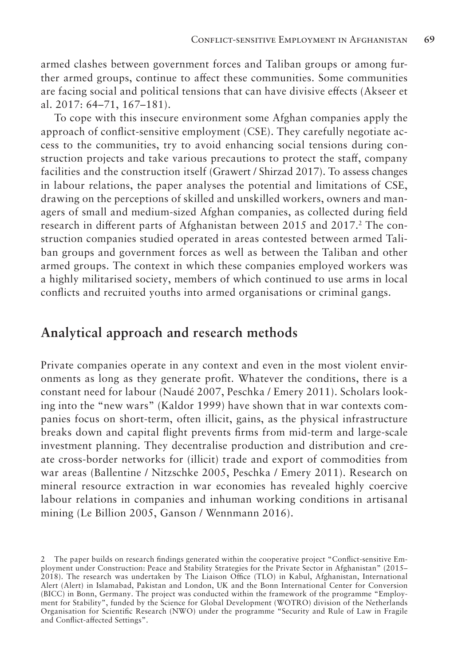armed clashes between government forces and Taliban groups or among further armed groups, continue to affect these communities. Some communities are facing social and political tensions that can have divisive effects (Akseer et al. 2017: 64–71, 167–181).

To cope with this insecure environment some Afghan companies apply the approach of conflict-sensitive employment (CSE). They carefully negotiate access to the communities, try to avoid enhancing social tensions during construction projects and take various precautions to protect the staff, company facilities and the construction itself (Grawert / Shirzad 2017). To assess changes in labour relations, the paper analyses the potential and limitations of CSE, drawing on the perceptions of skilled and unskilled workers, owners and managers of small and medium-sized Afghan companies, as collected during field research in different parts of Afghanistan between 2015 and 2017.<sup>2</sup> The construction companies studied operated in areas contested between armed Taliban groups and government forces as well as between the Taliban and other armed groups. The context in which these companies employed workers was a highly militarised society, members of which continued to use arms in local conflicts and recruited youths into armed organisations or criminal gangs.

### **Analytical approach and research methods**

Private companies operate in any context and even in the most violent environments as long as they generate profit. Whatever the conditions, there is a constant need for labour (Naudé 2007, Peschka / Emery 2011). Scholars looking into the "new wars" (Kaldor 1999) have shown that in war contexts companies focus on short-term, often illicit, gains, as the physical infrastructure breaks down and capital flight prevents firms from mid-term and large-scale investment planning. They decentralise production and distribution and create cross-border networks for (illicit) trade and export of commodities from war areas (Ballentine / Nitzschke 2005, Peschka / Emery 2011). Research on mineral resource extraction in war economies has revealed highly coercive labour relations in companies and inhuman working conditions in artisanal mining (Le Billion 2005, Ganson / Wennmann 2016).

<sup>2</sup> The paper builds on research findings generated within the cooperative project "Conflict-sensitive Employment under Construction: Peace and Stability Strategies for the Private Sector in Afghanistan" (2015– 2018). The research was undertaken by The Liaison Office (TLO) in Kabul, Afghanistan, International Alert (Alert) in Islamabad, Pakistan and London, UK and the Bonn International Center for Conversion (BICC) in Bonn, Germany. The project was conducted within the framework of the programme "Employment for Stability", funded by the Science for Global Development (WOTRO) division of the Netherlands Organisation for Scientific Research (NWO) under the programme "Security and Rule of Law in Fragile and Conflict-affected Settings".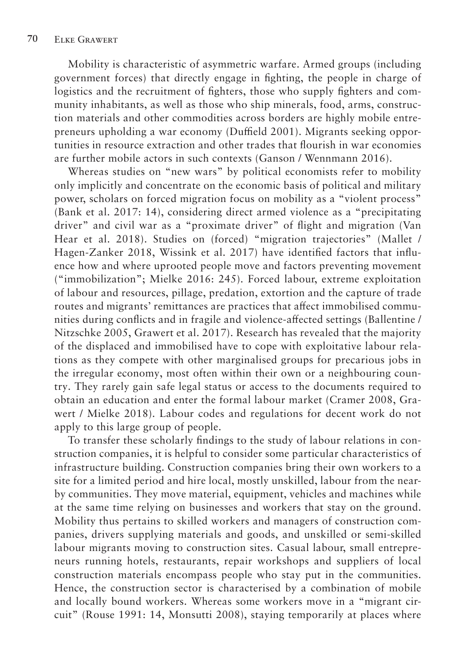Mobility is characteristic of asymmetric warfare. Armed groups (including government forces) that directly engage in fighting, the people in charge of logistics and the recruitment of fighters, those who supply fighters and community inhabitants, as well as those who ship minerals, food, arms, construction materials and other commodities across borders are highly mobile entrepreneurs upholding a war economy (Duffield 2001). Migrants seeking opportunities in resource extraction and other trades that flourish in war economies are further mobile actors in such contexts (Ganson / Wennmann 2016).

Whereas studies on "new wars" by political economists refer to mobility only implicitly and concentrate on the economic basis of political and military power, scholars on forced migration focus on mobility as a "violent process" (Bank et al. 2017: 14), considering direct armed violence as a "precipitating driver" and civil war as a "proximate driver" of flight and migration (Van Hear et al. 2018). Studies on (forced) "migration trajectories" (Mallet / Hagen-Zanker 2018, Wissink et al. 2017) have identified factors that influence how and where uprooted people move and factors preventing movement ("immobilization"; Mielke 2016: 245). Forced labour, extreme exploitation of labour and resources, pillage, predation, extortion and the capture of trade routes and migrants' remittances are practices that affect immobilised communities during conflicts and in fragile and violence-affected settings (Ballentine / Nitzschke 2005, Grawert et al. 2017). Research has revealed that the majority of the displaced and immobilised have to cope with exploitative labour relations as they compete with other marginalised groups for precarious jobs in the irregular economy, most often within their own or a neighbouring country. They rarely gain safe legal status or access to the documents required to obtain an education and enter the formal labour market (Cramer 2008, Grawert / Mielke 2018). Labour codes and regulations for decent work do not apply to this large group of people.

To transfer these scholarly findings to the study of labour relations in construction companies, it is helpful to consider some particular characteristics of infrastructure building. Construction companies bring their own workers to a site for a limited period and hire local, mostly unskilled, labour from the nearby communities. They move material, equipment, vehicles and machines while at the same time relying on businesses and workers that stay on the ground. Mobility thus pertains to skilled workers and managers of construction companies, drivers supplying materials and goods, and unskilled or semi-skilled labour migrants moving to construction sites. Casual labour, small entrepreneurs running hotels, restaurants, repair workshops and suppliers of local construction materials encompass people who stay put in the communities. Hence, the construction sector is characterised by a combination of mobile and locally bound workers. Whereas some workers move in a "migrant circuit" (Rouse 1991: 14, Monsutti 2008), staying temporarily at places where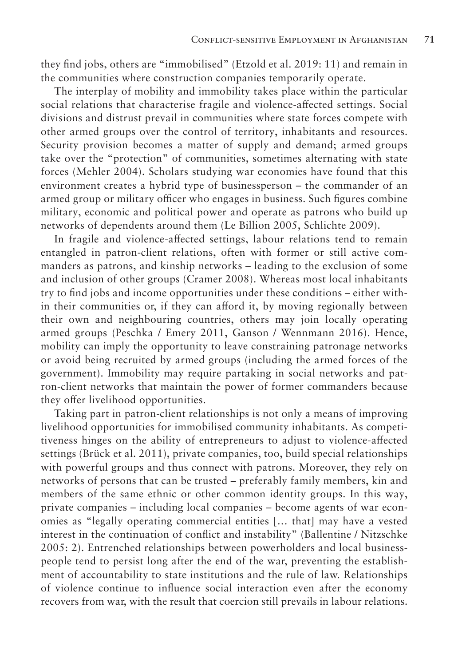they find jobs, others are "immobilised" (Etzold et al. 2019: 11) and remain in the communities where construction companies temporarily operate.

The interplay of mobility and immobility takes place within the particular social relations that characterise fragile and violence-affected settings. Social divisions and distrust prevail in communities where state forces compete with other armed groups over the control of territory, inhabitants and resources. Security provision becomes a matter of supply and demand; armed groups take over the "protection" of communities, sometimes alternating with state forces (Mehler 2004). Scholars studying war economies have found that this environment creates a hybrid type of businessperson – the commander of an armed group or military officer who engages in business. Such figures combine military, economic and political power and operate as patrons who build up networks of dependents around them (Le Billion 2005, Schlichte 2009).

In fragile and violence-affected settings, labour relations tend to remain entangled in patron-client relations, often with former or still active commanders as patrons, and kinship networks – leading to the exclusion of some and inclusion of other groups (Cramer 2008). Whereas most local inhabitants try to find jobs and income opportunities under these conditions – either within their communities or, if they can afford it, by moving regionally between their own and neighbouring countries, others may join locally operating armed groups (Peschka / Emery 2011, Ganson / Wennmann 2016). Hence, mobility can imply the opportunity to leave constraining patronage networks or avoid being recruited by armed groups (including the armed forces of the government). Immobility may require partaking in social networks and patron-client networks that maintain the power of former commanders because they offer livelihood opportunities.

Taking part in patron-client relationships is not only a means of improving livelihood opportunities for immobilised community inhabitants. As competitiveness hinges on the ability of entrepreneurs to adjust to violence-affected settings (Brück et al. 2011), private companies, too, build special relationships with powerful groups and thus connect with patrons. Moreover, they rely on networks of persons that can be trusted – preferably family members, kin and members of the same ethnic or other common identity groups. In this way, private companies – including local companies – become agents of war economies as "legally operating commercial entities [… that] may have a vested interest in the continuation of conflict and instability" (Ballentine / Nitzschke 2005: 2). Entrenched relationships between powerholders and local businesspeople tend to persist long after the end of the war, preventing the establishment of accountability to state institutions and the rule of law. Relationships of violence continue to influence social interaction even after the economy recovers from war, with the result that coercion still prevails in labour relations.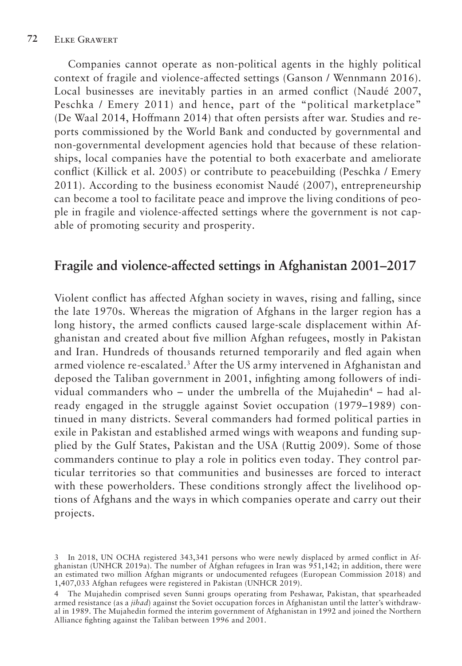Companies cannot operate as non-political agents in the highly political context of fragile and violence-affected settings (Ganson / Wennmann 2016). Local businesses are inevitably parties in an armed conflict (Naudé 2007, Peschka / Emery 2011) and hence, part of the "political marketplace" (De Waal 2014, Hoffmann 2014) that often persists after war. Studies and reports commissioned by the World Bank and conducted by governmental and non-governmental development agencies hold that because of these relationships, local companies have the potential to both exacerbate and ameliorate conflict (Killick et al. 2005) or contribute to peacebuilding (Peschka / Emery 2011). According to the business economist Naudé (2007), entrepreneurship can become a tool to facilitate peace and improve the living conditions of people in fragile and violence-affected settings where the government is not capable of promoting security and prosperity.

### **Fragile and violence-affected settings in Afghanistan 2001–2017**

Violent conflict has affected Afghan society in waves, rising and falling, since the late 1970s. Whereas the migration of Afghans in the larger region has a long history, the armed conflicts caused large-scale displacement within Afghanistan and created about five million Afghan refugees, mostly in Pakistan and Iran. Hundreds of thousands returned temporarily and fled again when armed violence re-escalated.3 After the US army intervened in Afghanistan and deposed the Taliban government in 2001, infighting among followers of individual commanders who – under the umbrella of the Mujahedin<sup>4</sup> – had already engaged in the struggle against Soviet occupation (1979–1989) continued in many districts. Several commanders had formed political parties in exile in Pakistan and established armed wings with weapons and funding supplied by the Gulf States, Pakistan and the USA (Ruttig 2009). Some of those commanders continue to play a role in politics even today. They control particular territories so that communities and businesses are forced to interact with these powerholders. These conditions strongly affect the livelihood options of Afghans and the ways in which companies operate and carry out their projects.

<sup>3</sup> In 2018, UN OCHA registered 343,341 persons who were newly displaced by armed conflict in Afghanistan (UNHCR 2019a). The number of Afghan refugees in Iran was 951,142; in addition, there were an estimated two million Afghan migrants or undocumented refugees (European Commission 2018) and 1,407,033 Afghan refugees were registered in Pakistan (UNHCR 2019).

<sup>4</sup> The Mujahedin comprised seven Sunni groups operating from Peshawar, Pakistan, that spearheaded armed resistance (as a *jihad*) against the Soviet occupation forces in Afghanistan until the latter's withdrawal in 1989. The Mujahedin formed the interim government of Afghanistan in 1992 and joined the Northern Alliance fighting against the Taliban between 1996 and 2001.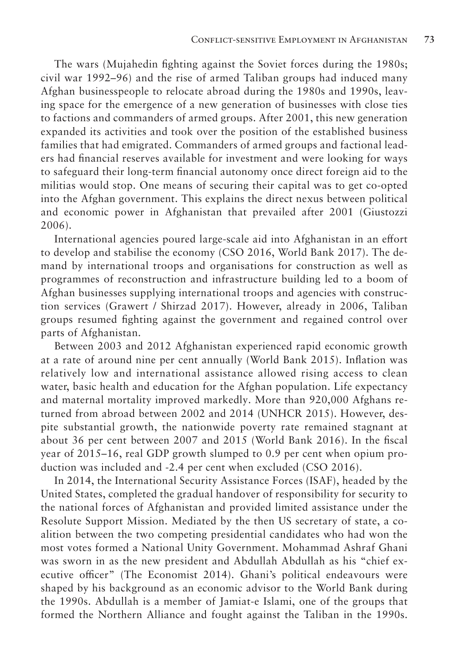The wars (Mujahedin fighting against the Soviet forces during the 1980s; civil war 1992–96) and the rise of armed Taliban groups had induced many Afghan businesspeople to relocate abroad during the 1980s and 1990s, leaving space for the emergence of a new generation of businesses with close ties to factions and commanders of armed groups. After 2001, this new generation expanded its activities and took over the position of the established business families that had emigrated. Commanders of armed groups and factional leaders had financial reserves available for investment and were looking for ways to safeguard their long-term financial autonomy once direct foreign aid to the militias would stop. One means of securing their capital was to get co-opted into the Afghan government. This explains the direct nexus between political and economic power in Afghanistan that prevailed after 2001 (Giustozzi 2006).

International agencies poured large-scale aid into Afghanistan in an effort to develop and stabilise the economy (CSO 2016, World Bank 2017). The demand by international troops and organisations for construction as well as programmes of reconstruction and infrastructure building led to a boom of Afghan businesses supplying international troops and agencies with construction services (Grawert / Shirzad 2017). However, already in 2006, Taliban groups resumed fighting against the government and regained control over parts of Afghanistan.

Between 2003 and 2012 Afghanistan experienced rapid economic growth at a rate of around nine per cent annually (World Bank 2015). Inflation was relatively low and international assistance allowed rising access to clean water, basic health and education for the Afghan population. Life expectancy and maternal mortality improved markedly. More than 920,000 Afghans returned from abroad between 2002 and 2014 (UNHCR 2015). However, despite substantial growth, the nationwide poverty rate remained stagnant at about 36 per cent between 2007 and 2015 (World Bank 2016). In the fiscal year of 2015–16, real GDP growth slumped to 0.9 per cent when opium production was included and -2.4 per cent when excluded (CSO 2016).

In 2014, the International Security Assistance Forces (ISAF), headed by the United States, completed the gradual handover of responsibility for security to the national forces of Afghanistan and provided limited assistance under the Resolute Support Mission. Mediated by the then US secretary of state, a coalition between the two competing presidential candidates who had won the most votes formed a National Unity Government. Mohammad Ashraf Ghani was sworn in as the new president and Abdullah Abdullah as his "chief executive officer" (The Economist 2014). Ghani's political endeavours were shaped by his background as an economic advisor to the World Bank during the 1990s. Abdullah is a member of Jamiat-e Islami, one of the groups that formed the Northern Alliance and fought against the Taliban in the 1990s.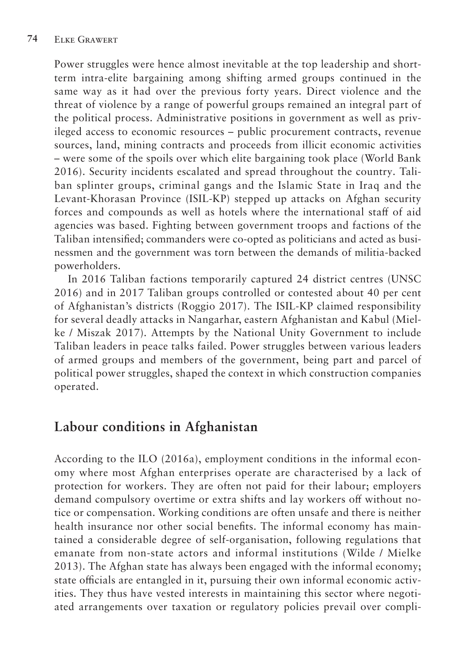Power struggles were hence almost inevitable at the top leadership and shortterm intra-elite bargaining among shifting armed groups continued in the same way as it had over the previous forty years. Direct violence and the threat of violence by a range of powerful groups remained an integral part of the political process. Administrative positions in government as well as privileged access to economic resources – public procurement contracts, revenue sources, land, mining contracts and proceeds from illicit economic activities – were some of the spoils over which elite bargaining took place (World Bank 2016). Security incidents escalated and spread throughout the country. Taliban splinter groups, criminal gangs and the Islamic State in Iraq and the Levant-Khorasan Province (ISIL-KP) stepped up attacks on Afghan security forces and compounds as well as hotels where the international staff of aid agencies was based. Fighting between government troops and factions of the Taliban intensified; commanders were co-opted as politicians and acted as businessmen and the government was torn between the demands of militia-backed powerholders.

In 2016 Taliban factions temporarily captured 24 district centres (UNSC 2016) and in 2017 Taliban groups controlled or contested about 40 per cent of Afghanistan's districts (Roggio 2017). The ISIL-KP claimed responsibility for several deadly attacks in Nangarhar, eastern Afghanistan and Kabul (Mielke / Miszak 2017). Attempts by the National Unity Government to include Taliban leaders in peace talks failed. Power struggles between various leaders of armed groups and members of the government, being part and parcel of political power struggles, shaped the context in which construction companies operated.

## **Labour conditions in Afghanistan**

According to the ILO (2016a), employment conditions in the informal economy where most Afghan enterprises operate are characterised by a lack of protection for workers. They are often not paid for their labour; employers demand compulsory overtime or extra shifts and lay workers off without notice or compensation. Working conditions are often unsafe and there is neither health insurance nor other social benefits. The informal economy has maintained a considerable degree of self-organisation, following regulations that emanate from non-state actors and informal institutions (Wilde / Mielke 2013). The Afghan state has always been engaged with the informal economy; state officials are entangled in it, pursuing their own informal economic activities. They thus have vested interests in maintaining this sector where negotiated arrangements over taxation or regulatory policies prevail over compli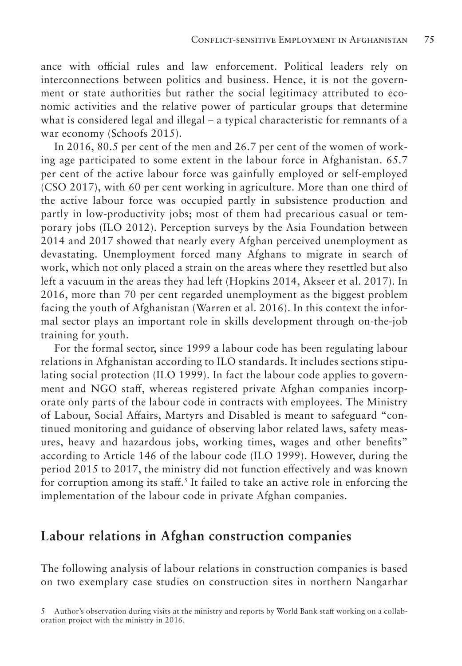ance with official rules and law enforcement. Political leaders rely on interconnections between politics and business. Hence, it is not the government or state authorities but rather the social legitimacy attributed to economic activities and the relative power of particular groups that determine what is considered legal and illegal – a typical characteristic for remnants of a war economy (Schoofs 2015).

In 2016, 80.5 per cent of the men and 26.7 per cent of the women of working age participated to some extent in the labour force in Afghanistan. 65.7 per cent of the active labour force was gainfully employed or self-employed (CSO 2017), with 60 per cent working in agriculture. More than one third of the active labour force was occupied partly in subsistence production and partly in low-productivity jobs; most of them had precarious casual or temporary jobs (ILO 2012). Perception surveys by the Asia Foundation between 2014 and 2017 showed that nearly every Afghan perceived unemployment as devastating. Unemployment forced many Afghans to migrate in search of work, which not only placed a strain on the areas where they resettled but also left a vacuum in the areas they had left (Hopkins 2014, Akseer et al. 2017). In 2016, more than 70 per cent regarded unemployment as the biggest problem facing the youth of Afghanistan (Warren et al. 2016). In this context the informal sector plays an important role in skills development through on-the-job training for youth.

For the formal sector, since 1999 a labour code has been regulating labour relations in Afghanistan according to ILO standards. It includes sections stipulating social protection (ILO 1999). In fact the labour code applies to government and NGO staff, whereas registered private Afghan companies incorporate only parts of the labour code in contracts with employees. The Ministry of Labour, Social Affairs, Martyrs and Disabled is meant to safeguard "continued monitoring and guidance of observing labor related laws, safety measures, heavy and hazardous jobs, working times, wages and other benefits" according to Article 146 of the labour code (ILO 1999). However, during the period 2015 to 2017, the ministry did not function effectively and was known for corruption among its staff.<sup>5</sup> It failed to take an active role in enforcing the implementation of the labour code in private Afghan companies.

#### **Labour relations in Afghan construction companies**

The following analysis of labour relations in construction companies is based on two exemplary case studies on construction sites in northern Nangarhar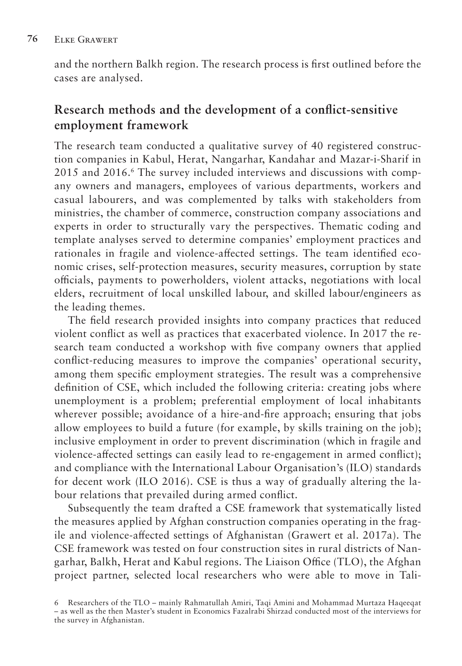and the northern Balkh region. The research process is first outlined before the cases are analysed.

### **Research methods and the development of a conflict-sensitive employment framework**

The research team conducted a qualitative survey of 40 registered construction companies in Kabul, Herat, Nangarhar, Kandahar and Mazar-i-Sharif in 2015 and 2016.6 The survey included interviews and discussions with company owners and managers, employees of various departments, workers and casual labourers, and was complemented by talks with stakeholders from ministries, the chamber of commerce, construction company associations and experts in order to structurally vary the perspectives. Thematic coding and template analyses served to determine companies' employment practices and rationales in fragile and violence-affected settings. The team identified economic crises, self-protection measures, security measures, corruption by state officials, payments to powerholders, violent attacks, negotiations with local elders, recruitment of local unskilled labour, and skilled labour/engineers as the leading themes.

The field research provided insights into company practices that reduced violent conflict as well as practices that exacerbated violence. In 2017 the research team conducted a workshop with five company owners that applied conflict-reducing measures to improve the companies' operational security, among them specific employment strategies. The result was a comprehensive definition of CSE, which included the following criteria: creating jobs where unemployment is a problem; preferential employment of local inhabitants wherever possible; avoidance of a hire-and-fire approach; ensuring that jobs allow employees to build a future (for example, by skills training on the job); inclusive employment in order to prevent discrimination (which in fragile and violence-affected settings can easily lead to re-engagement in armed conflict); and compliance with the International Labour Organisation's (ILO) standards for decent work (ILO 2016). CSE is thus a way of gradually altering the labour relations that prevailed during armed conflict.

Subsequently the team drafted a CSE framework that systematically listed the measures applied by Afghan construction companies operating in the fragile and violence-affected settings of Afghanistan (Grawert et al. 2017a). The CSE framework was tested on four construction sites in rural districts of Nangarhar, Balkh, Herat and Kabul regions. The Liaison Office (TLO), the Afghan project partner, selected local researchers who were able to move in Tali-

<sup>6</sup> Researchers of the TLO – mainly Rahmatullah Amiri, Taqi Amini and Mohammad Murtaza Haqeeqat – as well as the then Master's student in Economics Fazalrabi Shirzad conducted most of the interviews for the survey in Afghanistan.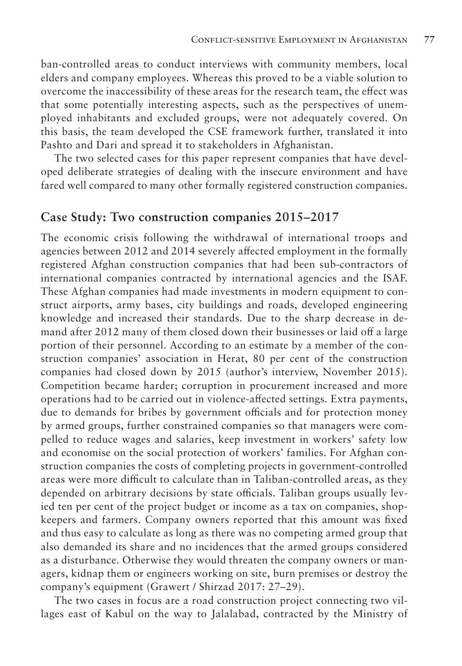ban-controlled areas to conduct interviews with community members, local elders and company employees. Whereas this proved to be a viable solution to overcome the inaccessibility of these areas for the research team, the effect was that some potentially interesting aspects, such as the perspectives of unemployed inhabitants and excluded groups, were not adequately covered. On this basis, the team developed the CSE framework further, translated it into Pashto and Dari and spread it to stakeholders in Afghanistan.

The two selected cases for this paper represent companies that have developed deliberate strategies of dealing with the insecure environment and have fared well compared to many other formally registered construction companies.

#### **Case Study: Two construction companies 2015–2017**

The economic crisis following the withdrawal of international troops and agencies between 2012 and 2014 severely affected employment in the formally registered Afghan construction companies that had been sub-contractors of international companies contracted by international agencies and the ISAF. These Afghan companies had made investments in modern equipment to construct airports, army bases, city buildings and roads, developed engineering knowledge and increased their standards. Due to the sharp decrease in demand after 2012 many of them closed down their businesses or laid off a large portion of their personnel. According to an estimate by a member of the construction companies' association in Herat, 80 per cent of the construction companies had closed down by 2015 (author's interview, November 2015). Competition became harder; corruption in procurement increased and more operations had to be carried out in violence-affected settings. Extra payments, due to demands for bribes by government officials and for protection money by armed groups, further constrained companies so that managers were compelled to reduce wages and salaries, keep investment in workers' safety low and economise on the social protection of workers' families. For Afghan construction companies the costs of completing projects in government-controlled areas were more difficult to calculate than in Taliban-controlled areas, as they depended on arbitrary decisions by state officials. Taliban groups usually levied ten per cent of the project budget or income as a tax on companies, shopkeepers and farmers. Company owners reported that this amount was fixed and thus easy to calculate as long as there was no competing armed group that also demanded its share and no incidences that the armed groups considered as a disturbance. Otherwise they would threaten the company owners or managers, kidnap them or engineers working on site, burn premises or destroy the company's equipment (Grawert / Shirzad 2017: 27–29).

The two cases in focus are a road construction project connecting two villages east of Kabul on the way to Jalalabad, contracted by the Ministry of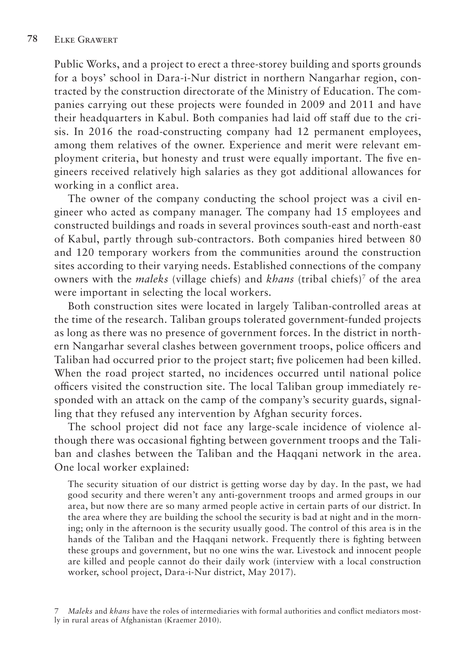Public Works, and a project to erect a three-storey building and sports grounds for a boys' school in Dara-i-Nur district in northern Nangarhar region, contracted by the construction directorate of the Ministry of Education. The companies carrying out these projects were founded in 2009 and 2011 and have their headquarters in Kabul. Both companies had laid off staff due to the crisis. In 2016 the road-constructing company had 12 permanent employees, among them relatives of the owner. Experience and merit were relevant employment criteria, but honesty and trust were equally important. The five engineers received relatively high salaries as they got additional allowances for working in a conflict area.

The owner of the company conducting the school project was a civil engineer who acted as company manager. The company had 15 employees and constructed buildings and roads in several provinces south-east and north-east of Kabul, partly through sub-contractors. Both companies hired between 80 and 120 temporary workers from the communities around the construction sites according to their varying needs. Established connections of the company owners with the *maleks* (village chiefs) and *khans* (tribal chiefs)7 of the area were important in selecting the local workers.

Both construction sites were located in largely Taliban-controlled areas at the time of the research. Taliban groups tolerated government-funded projects as long as there was no presence of government forces. In the district in northern Nangarhar several clashes between government troops, police officers and Taliban had occurred prior to the project start; five policemen had been killed. When the road project started, no incidences occurred until national police officers visited the construction site. The local Taliban group immediately responded with an attack on the camp of the company's security guards, signalling that they refused any intervention by Afghan security forces.

The school project did not face any large-scale incidence of violence although there was occasional fighting between government troops and the Taliban and clashes between the Taliban and the Haqqani network in the area. One local worker explained:

The security situation of our district is getting worse day by day. In the past, we had good security and there weren't any anti-government troops and armed groups in our area, but now there are so many armed people active in certain parts of our district. In the area where they are building the school the security is bad at night and in the morning; only in the afternoon is the security usually good. The control of this area is in the hands of the Taliban and the Haqqani network. Frequently there is fighting between these groups and government, but no one wins the war. Livestock and innocent people are killed and people cannot do their daily work (interview with a local construction worker, school project, Dara-i-Nur district, May 2017).

<sup>7</sup> *Maleks* and *khans* have the roles of intermediaries with formal authorities and conflict mediators mostly in rural areas of Afghanistan (Kraemer 2010).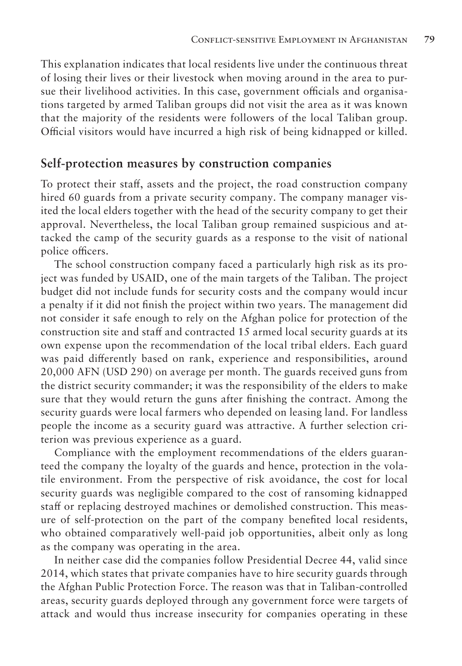This explanation indicates that local residents live under the continuous threat of losing their lives or their livestock when moving around in the area to pursue their livelihood activities. In this case, government officials and organisations targeted by armed Taliban groups did not visit the area as it was known that the majority of the residents were followers of the local Taliban group. Official visitors would have incurred a high risk of being kidnapped or killed.

#### **Self-protection measures by construction companies**

To protect their staff, assets and the project, the road construction company hired 60 guards from a private security company. The company manager visited the local elders together with the head of the security company to get their approval. Nevertheless, the local Taliban group remained suspicious and attacked the camp of the security guards as a response to the visit of national police officers.

The school construction company faced a particularly high risk as its project was funded by USAID, one of the main targets of the Taliban. The project budget did not include funds for security costs and the company would incur a penalty if it did not finish the project within two years. The management did not consider it safe enough to rely on the Afghan police for protection of the construction site and staff and contracted 15 armed local security guards at its own expense upon the recommendation of the local tribal elders. Each guard was paid differently based on rank, experience and responsibilities, around 20,000 AFN (USD 290) on average per month. The guards received guns from the district security commander; it was the responsibility of the elders to make sure that they would return the guns after finishing the contract. Among the security guards were local farmers who depended on leasing land. For landless people the income as a security guard was attractive. A further selection criterion was previous experience as a guard.

Compliance with the employment recommendations of the elders guaranteed the company the loyalty of the guards and hence, protection in the volatile environment. From the perspective of risk avoidance, the cost for local security guards was negligible compared to the cost of ransoming kidnapped staff or replacing destroyed machines or demolished construction. This measure of self-protection on the part of the company benefited local residents, who obtained comparatively well-paid job opportunities, albeit only as long as the company was operating in the area.

In neither case did the companies follow Presidential Decree 44, valid since 2014, which states that private companies have to hire security guards through the Afghan Public Protection Force. The reason was that in Taliban-controlled areas, security guards deployed through any government force were targets of attack and would thus increase insecurity for companies operating in these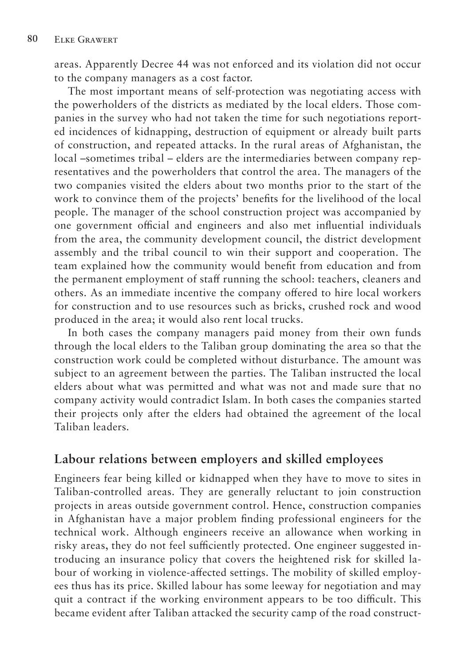areas. Apparently Decree 44 was not enforced and its violation did not occur to the company managers as a cost factor.

The most important means of self-protection was negotiating access with the powerholders of the districts as mediated by the local elders. Those companies in the survey who had not taken the time for such negotiations reported incidences of kidnapping, destruction of equipment or already built parts of construction, and repeated attacks. In the rural areas of Afghanistan, the local –sometimes tribal – elders are the intermediaries between company representatives and the powerholders that control the area. The managers of the two companies visited the elders about two months prior to the start of the work to convince them of the projects' benefits for the livelihood of the local people. The manager of the school construction project was accompanied by one government official and engineers and also met influential individuals from the area, the community development council, the district development assembly and the tribal council to win their support and cooperation. The team explained how the community would benefit from education and from the permanent employment of staff running the school: teachers, cleaners and others. As an immediate incentive the company offered to hire local workers for construction and to use resources such as bricks, crushed rock and wood produced in the area; it would also rent local trucks.

In both cases the company managers paid money from their own funds through the local elders to the Taliban group dominating the area so that the construction work could be completed without disturbance. The amount was subject to an agreement between the parties. The Taliban instructed the local elders about what was permitted and what was not and made sure that no company activity would contradict Islam. In both cases the companies started their projects only after the elders had obtained the agreement of the local Taliban leaders.

#### **Labour relations between employers and skilled employees**

Engineers fear being killed or kidnapped when they have to move to sites in Taliban-controlled areas. They are generally reluctant to join construction projects in areas outside government control. Hence, construction companies in Afghanistan have a major problem finding professional engineers for the technical work. Although engineers receive an allowance when working in risky areas, they do not feel sufficiently protected. One engineer suggested introducing an insurance policy that covers the heightened risk for skilled labour of working in violence-affected settings. The mobility of skilled employees thus has its price. Skilled labour has some leeway for negotiation and may quit a contract if the working environment appears to be too difficult. This became evident after Taliban attacked the security camp of the road construct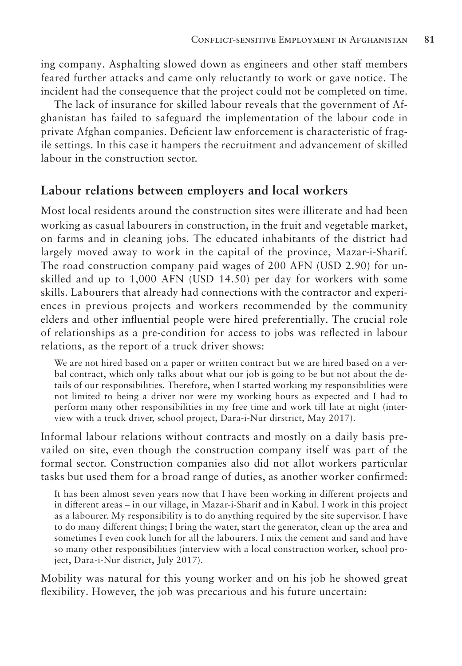ing company. Asphalting slowed down as engineers and other staff members feared further attacks and came only reluctantly to work or gave notice. The incident had the consequence that the project could not be completed on time.

The lack of insurance for skilled labour reveals that the government of Afghanistan has failed to safeguard the implementation of the labour code in private Afghan companies. Deficient law enforcement is characteristic of fragile settings. In this case it hampers the recruitment and advancement of skilled labour in the construction sector.

#### **Labour relations between employers and local workers**

Most local residents around the construction sites were illiterate and had been working as casual labourers in construction, in the fruit and vegetable market, on farms and in cleaning jobs. The educated inhabitants of the district had largely moved away to work in the capital of the province, Mazar-i-Sharif. The road construction company paid wages of 200 AFN (USD 2.90) for unskilled and up to 1,000 AFN (USD 14.50) per day for workers with some skills. Labourers that already had connections with the contractor and experiences in previous projects and workers recommended by the community elders and other influential people were hired preferentially. The crucial role of relationships as a pre-condition for access to jobs was reflected in labour relations, as the report of a truck driver shows:

We are not hired based on a paper or written contract but we are hired based on a verbal contract, which only talks about what our job is going to be but not about the details of our responsibilities. Therefore, when I started working my responsibilities were not limited to being a driver nor were my working hours as expected and I had to perform many other responsibilities in my free time and work till late at night (interview with a truck driver, school project, Dara-i-Nur dirstrict, May 2017).

Informal labour relations without contracts and mostly on a daily basis prevailed on site, even though the construction company itself was part of the formal sector. Construction companies also did not allot workers particular tasks but used them for a broad range of duties, as another worker confirmed:

It has been almost seven years now that I have been working in different projects and in different areas – in our village, in Mazar-i-Sharif and in Kabul. I work in this project as a labourer. My responsibility is to do anything required by the site supervisor. I have to do many different things; I bring the water, start the generator, clean up the area and sometimes I even cook lunch for all the labourers. I mix the cement and sand and have so many other responsibilities (interview with a local construction worker, school project, Dara-i-Nur district, July 2017).

Mobility was natural for this young worker and on his job he showed great flexibility. However, the job was precarious and his future uncertain: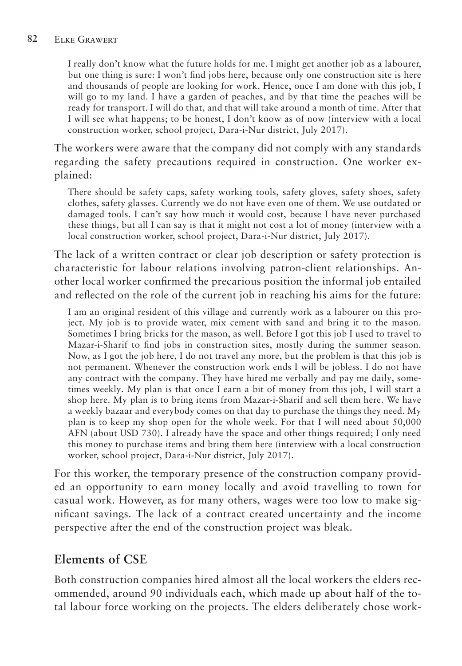I really don't know what the future holds for me. I might get another job as a labourer, but one thing is sure: I won't find jobs here, because only one construction site is here and thousands of people are looking for work. Hence, once I am done with this job, I will go to my land. I have a garden of peaches, and by that time the peaches will be ready for transport. I will do that, and that will take around a month of time. After that I will see what happens; to be honest, I don't know as of now (interview with a local construction worker, school project, Dara-i-Nur district, July 2017).

The workers were aware that the company did not comply with any standards regarding the safety precautions required in construction. One worker explained:

There should be safety caps, safety working tools, safety gloves, safety shoes, safety clothes, safety glasses. Currently we do not have even one of them. We use outdated or damaged tools. I can't say how much it would cost, because I have never purchased these things, but all I can say is that it might not cost a lot of money (interview with a local construction worker, school project, Dara-i-Nur district, July 2017).

The lack of a written contract or clear job description or safety protection is characteristic for labour relations involving patron-client relationships. Another local worker confirmed the precarious position the informal job entailed and reflected on the role of the current job in reaching his aims for the future:

I am an original resident of this village and currently work as a labourer on this project. My job is to provide water, mix cement with sand and bring it to the mason. Sometimes I bring bricks for the mason, as well. Before I got this job I used to travel to Mazar-i-Sharif to find jobs in construction sites, mostly during the summer season. Now, as I got the job here, I do not travel any more, but the problem is that this job is not permanent. Whenever the construction work ends I will be jobless. I do not have any contract with the company. They have hired me verbally and pay me daily, sometimes weekly. My plan is that once I earn a bit of money from this job, I will start a shop here. My plan is to bring items from Mazar-i-Sharif and sell them here. We have a weekly bazaar and everybody comes on that day to purchase the things they need. My plan is to keep my shop open for the whole week. For that I will need about 50,000 AFN (about USD 730). I already have the space and other things required; I only need this money to purchase items and bring them here (interview with a local construction worker, school project, Dara-i-Nur district, July 2017).

For this worker, the temporary presence of the construction company provided an opportunity to earn money locally and avoid travelling to town for casual work. However, as for many others, wages were too low to make significant savings. The lack of a contract created uncertainty and the income perspective after the end of the construction project was bleak.

## **Elements of CSE**

Both construction companies hired almost all the local workers the elders recommended, around 90 individuals each, which made up about half of the total labour force working on the projects. The elders deliberately chose work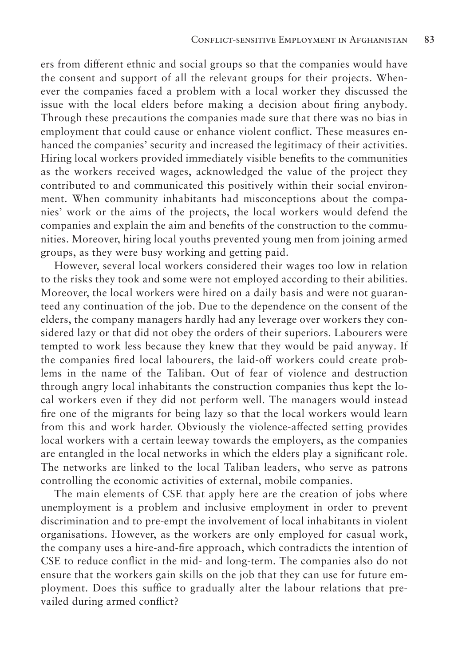ers from different ethnic and social groups so that the companies would have the consent and support of all the relevant groups for their projects. Whenever the companies faced a problem with a local worker they discussed the issue with the local elders before making a decision about firing anybody. Through these precautions the companies made sure that there was no bias in employment that could cause or enhance violent conflict. These measures enhanced the companies' security and increased the legitimacy of their activities. Hiring local workers provided immediately visible benefits to the communities as the workers received wages, acknowledged the value of the project they contributed to and communicated this positively within their social environment. When community inhabitants had misconceptions about the companies' work or the aims of the projects, the local workers would defend the companies and explain the aim and benefits of the construction to the communities. Moreover, hiring local youths prevented young men from joining armed groups, as they were busy working and getting paid.

However, several local workers considered their wages too low in relation to the risks they took and some were not employed according to their abilities. Moreover, the local workers were hired on a daily basis and were not guaranteed any continuation of the job. Due to the dependence on the consent of the elders, the company managers hardly had any leverage over workers they considered lazy or that did not obey the orders of their superiors. Labourers were tempted to work less because they knew that they would be paid anyway. If the companies fired local labourers, the laid-off workers could create problems in the name of the Taliban. Out of fear of violence and destruction through angry local inhabitants the construction companies thus kept the local workers even if they did not perform well. The managers would instead fire one of the migrants for being lazy so that the local workers would learn from this and work harder. Obviously the violence-affected setting provides local workers with a certain leeway towards the employers, as the companies are entangled in the local networks in which the elders play a significant role. The networks are linked to the local Taliban leaders, who serve as patrons controlling the economic activities of external, mobile companies.

The main elements of CSE that apply here are the creation of jobs where unemployment is a problem and inclusive employment in order to prevent discrimination and to pre-empt the involvement of local inhabitants in violent organisations. However, as the workers are only employed for casual work, the company uses a hire-and-fire approach, which contradicts the intention of CSE to reduce conflict in the mid- and long-term. The companies also do not ensure that the workers gain skills on the job that they can use for future employment. Does this suffice to gradually alter the labour relations that prevailed during armed conflict?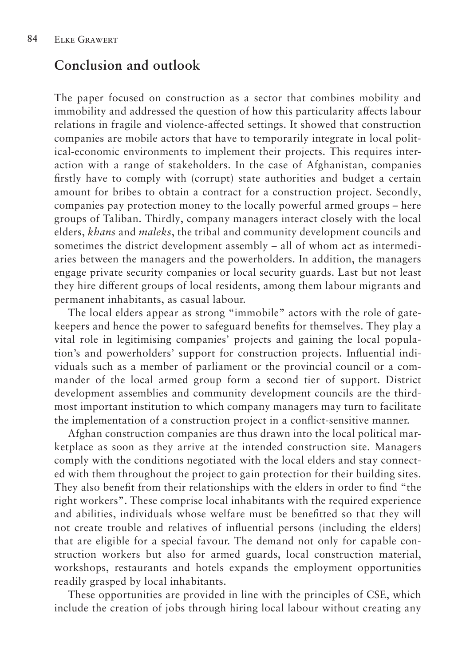### **Conclusion and outlook**

The paper focused on construction as a sector that combines mobility and immobility and addressed the question of how this particularity affects labour relations in fragile and violence-affected settings. It showed that construction companies are mobile actors that have to temporarily integrate in local political-economic environments to implement their projects. This requires interaction with a range of stakeholders. In the case of Afghanistan, companies firstly have to comply with (corrupt) state authorities and budget a certain amount for bribes to obtain a contract for a construction project. Secondly, companies pay protection money to the locally powerful armed groups – here groups of Taliban. Thirdly, company managers interact closely with the local elders, *khans* and *maleks*, the tribal and community development councils and sometimes the district development assembly – all of whom act as intermediaries between the managers and the powerholders. In addition, the managers engage private security companies or local security guards. Last but not least they hire different groups of local residents, among them labour migrants and permanent inhabitants, as casual labour.

The local elders appear as strong "immobile" actors with the role of gatekeepers and hence the power to safeguard benefits for themselves. They play a vital role in legitimising companies' projects and gaining the local population's and powerholders' support for construction projects. Influential individuals such as a member of parliament or the provincial council or a commander of the local armed group form a second tier of support. District development assemblies and community development councils are the thirdmost important institution to which company managers may turn to facilitate the implementation of a construction project in a conflict-sensitive manner.

Afghan construction companies are thus drawn into the local political marketplace as soon as they arrive at the intended construction site. Managers comply with the conditions negotiated with the local elders and stay connected with them throughout the project to gain protection for their building sites. They also benefit from their relationships with the elders in order to find "the right workers". These comprise local inhabitants with the required experience and abilities, individuals whose welfare must be benefitted so that they will not create trouble and relatives of influential persons (including the elders) that are eligible for a special favour. The demand not only for capable construction workers but also for armed guards, local construction material, workshops, restaurants and hotels expands the employment opportunities readily grasped by local inhabitants.

These opportunities are provided in line with the principles of CSE, which include the creation of jobs through hiring local labour without creating any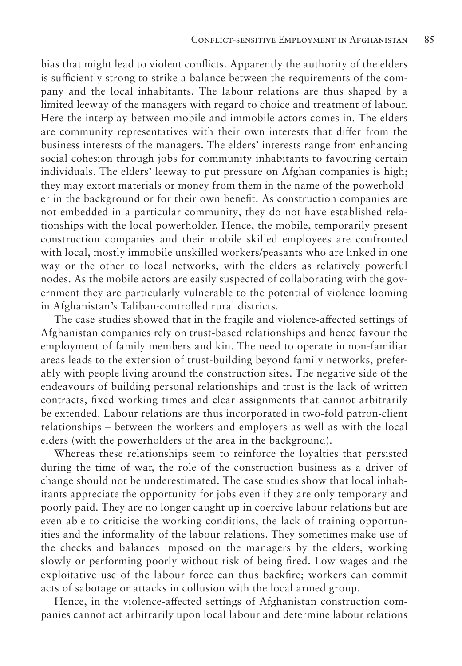bias that might lead to violent conflicts. Apparently the authority of the elders is sufficiently strong to strike a balance between the requirements of the company and the local inhabitants. The labour relations are thus shaped by a limited leeway of the managers with regard to choice and treatment of labour. Here the interplay between mobile and immobile actors comes in. The elders are community representatives with their own interests that differ from the business interests of the managers. The elders' interests range from enhancing social cohesion through jobs for community inhabitants to favouring certain individuals. The elders' leeway to put pressure on Afghan companies is high; they may extort materials or money from them in the name of the powerholder in the background or for their own benefit. As construction companies are not embedded in a particular community, they do not have established relationships with the local powerholder. Hence, the mobile, temporarily present construction companies and their mobile skilled employees are confronted with local, mostly immobile unskilled workers/peasants who are linked in one way or the other to local networks, with the elders as relatively powerful nodes. As the mobile actors are easily suspected of collaborating with the government they are particularly vulnerable to the potential of violence looming in Afghanistan's Taliban-controlled rural districts.

The case studies showed that in the fragile and violence-affected settings of Afghanistan companies rely on trust-based relationships and hence favour the employment of family members and kin. The need to operate in non-familiar areas leads to the extension of trust-building beyond family networks, preferably with people living around the construction sites. The negative side of the endeavours of building personal relationships and trust is the lack of written contracts, fixed working times and clear assignments that cannot arbitrarily be extended. Labour relations are thus incorporated in two-fold patron-client relationships – between the workers and employers as well as with the local elders (with the powerholders of the area in the background).

Whereas these relationships seem to reinforce the loyalties that persisted during the time of war, the role of the construction business as a driver of change should not be underestimated. The case studies show that local inhabitants appreciate the opportunity for jobs even if they are only temporary and poorly paid. They are no longer caught up in coercive labour relations but are even able to criticise the working conditions, the lack of training opportunities and the informality of the labour relations. They sometimes make use of the checks and balances imposed on the managers by the elders, working slowly or performing poorly without risk of being fired. Low wages and the exploitative use of the labour force can thus backfire; workers can commit acts of sabotage or attacks in collusion with the local armed group.

Hence, in the violence-affected settings of Afghanistan construction companies cannot act arbitrarily upon local labour and determine labour relations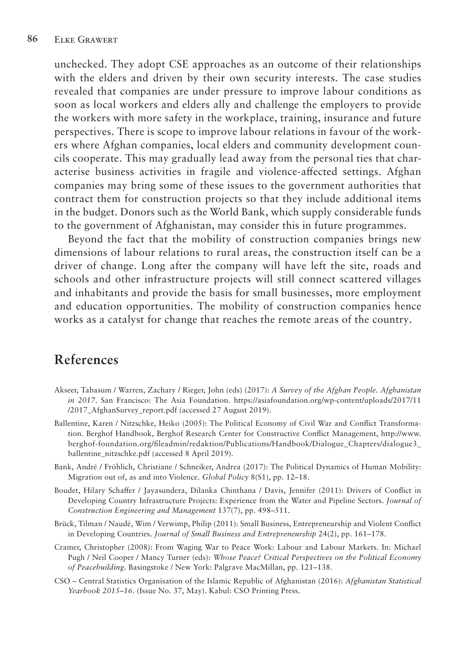unchecked. They adopt CSE approaches as an outcome of their relationships with the elders and driven by their own security interests. The case studies revealed that companies are under pressure to improve labour conditions as soon as local workers and elders ally and challenge the employers to provide the workers with more safety in the workplace, training, insurance and future perspectives. There is scope to improve labour relations in favour of the workers where Afghan companies, local elders and community development councils cooperate. This may gradually lead away from the personal ties that characterise business activities in fragile and violence-affected settings. Afghan companies may bring some of these issues to the government authorities that contract them for construction projects so that they include additional items in the budget. Donors such as the World Bank, which supply considerable funds to the government of Afghanistan, may consider this in future programmes.

Beyond the fact that the mobility of construction companies brings new dimensions of labour relations to rural areas, the construction itself can be a driver of change. Long after the company will have left the site, roads and schools and other infrastructure projects will still connect scattered villages and inhabitants and provide the basis for small businesses, more employment and education opportunities. The mobility of construction companies hence works as a catalyst for change that reaches the remote areas of the country.

### **References**

- Akseer, Tabasum / Warren, Zachary / Rieger, John (eds) (2017): *A Survey of the Afghan People. Afghanistan in 2017*. San Francisco: The Asia Foundation. https://asiafoundation.org/wp-content/uploads/2017/11 /2017\_AfghanSurvey\_report.pdf (accessed 27 August 2019).
- Ballentine, Karen / Nitzschke, Heiko (2005): The Political Economy of Civil War and Conflict Transformation. Berghof Handbook, Berghof Research Center for Constructive Conflict Management, http://www. berghof-foundation.org/fileadmin/redaktion/Publications/Handbook/Dialogue\_Chapters/dialogue3\_ ballentine\_nitzschke.pdf (accessed 8 April 2019).
- Bank, André / Fröhlich, Christiane / Schneiker, Andrea (2017): The Political Dynamics of Human Mobility: Migration out of, as and into Violence. *Global Policy* 8(S1), pp. 12–18.
- Boudet, Hilary Schaffer / Jayasundera, Dilanka Chinthana / Davis, Jennifer (2011): Drivers of Conflict in Developing Country Infrastructure Projects: Experience from the Water and Pipeline Sectors. *Journal of Construction Engineering and Management* 137(7), pp. 498–511.
- Brück, Tilman / Naudé, Wim / Verwimp, Philip (2011): Small Business, Entrepreneurship and Violent Conflict in Developing Countries. *Journal of Small Business and Entrepreneurship* 24(2), pp. 161–178.
- Cramer, Christopher (2008): From Waging War to Peace Work: Labour and Labour Markets. In: Michael Pugh / Neil Cooper / Mancy Turner (eds): *Whose Peace? Critical Perspectives on the Political Economy of Peacebuilding*. Basingstoke / New York: Palgrave MacMillan, pp. 121–138.
- CSO Central Statistics Organisation of the Islamic Republic of Afghanistan (2016): *Afghanistan Statistical Yearbook 2015–16*. (Issue No. 37, May). Kabul: CSO Printing Press.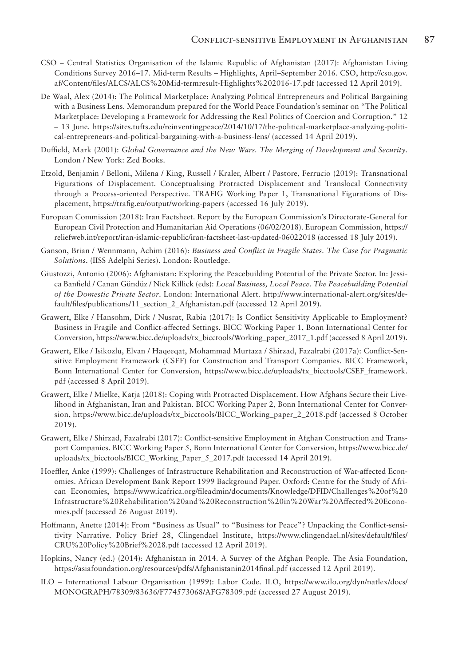- CSO Central Statistics Organisation of the Islamic Republic of Afghanistan (2017): Afghanistan Living Conditions Survey 2016–17. Mid-term Results – Highlights, April–September 2016. CSO, http://cso.gov. af/Content/files/ALCS/ALCS%20Mid-termresult-Highlights%202016-17.pdf (accessed 12 April 2019).
- De Waal, Alex (2014): The Political Marketplace: Analyzing Political Entrepreneurs and Political Bargaining with a Business Lens. Memorandum prepared for the World Peace Foundation's seminar on "The Political Marketplace: Developing a Framework for Addressing the Real Politics of Coercion and Corruption." 12 – 13 June. https://sites.tufts.edu/reinventingpeace/2014/10/17/the-political-marketplace-analyzing-political-entrepreneurs-and-political-bargaining-with-a-business-lens/ (accessed 14 April 2019).
- Duffield, Mark (2001): *Global Governance and the New Wars. The Merging of Development and Security.*  London / New York: Zed Books.
- Etzold, Benjamin / Belloni, Milena / King, Russell / Kraler, Albert / Pastore, Ferrucio (2019): Transnational Figurations of Displacement. Conceptualising Protracted Displacement and Translocal Connectivity through a Process-oriented Perspective. TRAFIG Working Paper 1, Transnational Figurations of Displacement, https://trafig.eu/output/working-papers (accessed 16 July 2019).
- European Commission (2018): Iran Factsheet. Report by the European Commission's Directorate-General for European Civil Protection and Humanitarian Aid Operations (06/02/2018). European Commission, https:// reliefweb.int/report/iran-islamic-republic/iran-factsheet-last-updated-06022018 (accessed 18 July 2019).
- Ganson, Brian / Wennmann, Achim (2016): *Business and Conflict in Fragile States. The Case for Pragmatic Solutions*. (IISS Adelphi Series). London: Routledge.
- Giustozzi, Antonio (2006): Afghanistan: Exploring the Peacebuilding Potential of the Private Sector. In: Jessica Banfield / Canan Gündüz / Nick Killick (eds): *Local Business, Local Peace. The Peacebuilding Potential of the Domestic Private Sector*. London: International Alert. http://www.international-alert.org/sites/default/files/publications/11\_section\_2\_Afghanistan.pdf (accessed 12 April 2019).
- Grawert, Elke / Hansohm, Dirk / Nusrat, Rabia (2017): Is Conflict Sensitivity Applicable to Employment? Business in Fragile and Conflict-affected Settings. BICC Working Paper 1, Bonn International Center for Conversion, https://www.bicc.de/uploads/tx\_bicctools/Working\_paper\_2017\_1.pdf (accessed 8 April 2019).
- Grawert, Elke / Isikozlu, Elvan / Haqeeqat, Mohammad Murtaza / Shirzad, Fazalrabi (2017a): Conflict-Sensitive Employment Framework (CSEF) for Construction and Transport Companies. BICC Framework, Bonn International Center for Conversion, https://www.bicc.de/uploads/tx\_bicctools/CSEF\_framework. pdf (accessed 8 April 2019).
- Grawert, Elke / Mielke, Katja (2018): Coping with Protracted Displacement. How Afghans Secure their Livelihood in Afghanistan, Iran and Pakistan. BICC Working Paper 2, Bonn International Center for Conversion, https://www.bicc.de/uploads/tx\_bicctools/BICC\_Working\_paper\_2\_2018.pdf (accessed 8 October 2019).
- Grawert, Elke / Shirzad, Fazalrabi (2017): Conflict-sensitive Employment in Afghan Construction and Transport Companies. BICC Working Paper 5, Bonn International Center for Conversion, https://www.bicc.de/ uploads/tx\_bicctools/BICC\_Working\_Paper\_5\_2017.pdf (accessed 14 April 2019).
- Hoeffler, Anke (1999): Challenges of Infrastructure Rehabilitation and Reconstruction of War-affected Economies. African Development Bank Report 1999 Background Paper. Oxford: Centre for the Study of African Economies, https://www.icafrica.org/fileadmin/documents/Knowledge/DFID/Challenges%20of%20 Infrastructure%20Rehabilitation%20and%20Reconstruction%20in%20War%20Affected%20Economies.pdf (accessed 26 August 2019).
- Hoffmann, Anette (2014): From "Business as Usual" to "Business for Peace"? Unpacking the Conflict-sensitivity Narrative. Policy Brief 28, Clingendael Institute, https://www.clingendael.nl/sites/default/files/ CRU%20Policy%20Brief%2028.pdf (accessed 12 April 2019).
- Hopkins, Nancy (ed.) (2014): Afghanistan in 2014. A Survey of the Afghan People. The Asia Foundation, https://asiafoundation.org/resources/pdfs/Afghanistanin2014final.pdf (accessed 12 April 2019).
- ILO International Labour Organisation (1999): Labor Code. ILO, https://www.ilo.org/dyn/natlex/docs/ MONOGRAPH/78309/83636/F774573068/AFG78309.pdf (accessed 27 August 2019).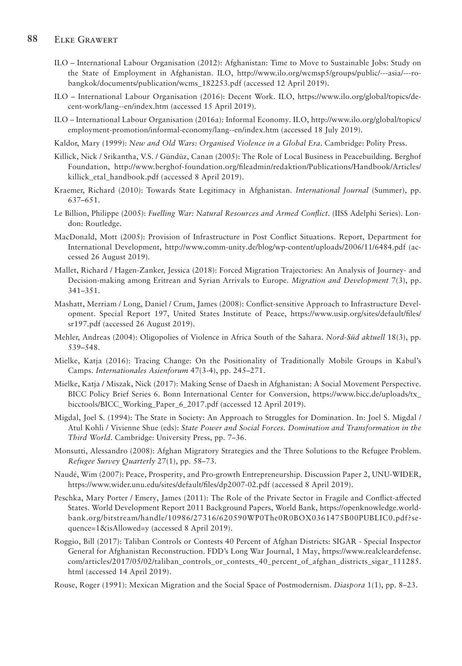#### **88** Elke Grawert

- ILO International Labour Organisation (2012): Afghanistan: Time to Move to Sustainable Jobs: Study on the State of Employment in Afghanistan. ILO, http://www.ilo.org/wcmsp5/groups/public/---asia/---robangkok/documents/publication/wcms\_182253.pdf (accessed 12 April 2019).
- ILO International Labour Organisation (2016): Decent Work. ILO, https://www.ilo.org/global/topics/decent-work/lang--en/index.htm (accessed 15 April 2019).
- ILO International Labour Organisation (2016a): Informal Economy. ILO, http://www.ilo.org/global/topics/ employment-promotion/informal-economy/lang--en/index.htm (accessed 18 July 2019).
- Kaldor, Mary (1999): *New and Old Wars: Organised Violence in a Global Era*. Cambridge: Polity Press.
- Killick, Nick / Srikantha, V.S. / Gündüz, Canan (2005): The Role of Local Business in Peacebuilding. Berghof Foundation, http://www.berghof-foundation.org/fileadmin/redaktion/Publications/Handbook/Articles/ killick etal handbook.pdf (accessed 8 April 2019).
- Kraemer, Richard (2010): Towards State Legitimacy in Afghanistan. *International Journal* (Summer), pp. 637–651.
- Le Billion, Philippe (2005): *Fuelling War: Natural Resources and Armed Conflict*. (IISS Adelphi Series). London: Routledge.
- MacDonald, Mott (2005): Provision of Infrastructure in Post Conflict Situations. Report, Department for International Development, http://www.comm-unity.de/blog/wp-content/uploads/2006/11/6484.pdf (accessed 26 August 2019).
- Mallet, Richard / Hagen-Zanker, Jessica (2018): Forced Migration Trajectories: An Analysis of Journey- and Decision-making among Eritrean and Syrian Arrivals to Europe. *Migration and Development* 7(3), pp. 341–351.
- Mashatt, Merriam / Long, Daniel / Crum, James (2008): Conflict-sensitive Approach to Infrastructure Development. Special Report 197, United States Institute of Peace, https://www.usip.org/sites/default/files/ sr197.pdf (accessed 26 August 2019).
- Mehler, Andreas (2004): Oligopolies of Violence in Africa South of the Sahara. *Nord-Süd aktuell* 18(3), pp. 539–548.
- Mielke, Katja (2016): Tracing Change: On the Positionality of Traditionally Mobile Groups in Kabul's Camps. *Internationales Asienforum* 47(3-4), pp. 245–271.
- Mielke, Katja / Miszak, Nick (2017): Making Sense of Daesh in Afghanistan: A Social Movement Perspective. BICC Policy Brief Series 6. Bonn International Center for Conversion, https://www.bicc.de/uploads/tx\_ bicctools/BICC\_Working\_Paper\_6\_2017.pdf (accessed 12 April 2019).
- Migdal, Joel S. (1994): The State in Society: An Approach to Struggles for Domination. In: Joel S. Migdal / Atul Kohli / Vivienne Shue (eds): *State Power and Social Forces. Domination and Transformation in the Third World*. Cambridge: University Press, pp. 7–36.
- Monsutti, Alessandro (2008): Afghan Migratory Strategies and the Three Solutions to the Refugee Problem. *Refugee Survey Quarterly* 27(1), pp. 58–73.
- Naudé, Wim (2007): Peace, Prosperity, and Pro-growth Entrepreneurship. Discussion Paper 2, UNU-WIDER, https://www.wider.unu.edu/sites/default/files/dp2007-02.pdf (accessed 8 April 2019).
- Peschka, Mary Porter / Emery, James (2011): The Role of the Private Sector in Fragile and Conflict-affected States. World Development Report 2011 Background Papers, World Bank, https://openknowledge.worldbank.org/bitstream/handle/10986/27316/620590WP0The0R0BOX0361475B00PUBLIC0.pdf?sequence=1&isAllowed=y (accessed 8 April 2019).
- Roggio, Bill (2017): Taliban Controls or Contests 40 Percent of Afghan Districts: SIGAR Special Inspector General for Afghanistan Reconstruction. FDD's Long War Journal, 1 May, https://www.realcleardefense. com/articles/2017/05/02/taliban\_controls\_or\_contests\_40\_percent\_of\_afghan\_districts\_sigar\_111285. html (accessed 14 April 2019).

Rouse, Roger (1991): Mexican Migration and the Social Space of Postmodernism. *Diaspora* 1(1), pp. 8–23.